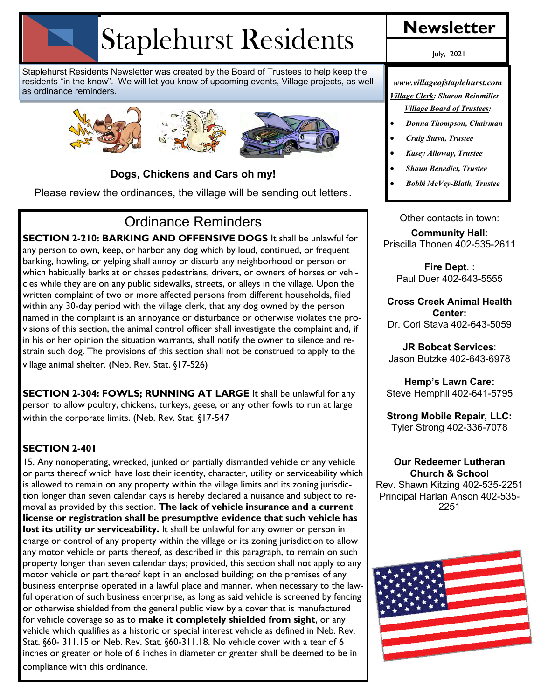# Staplehurst Residents

Staplehurst Residents Newsletter was created by the Board of Trustees to help keep the residents "in the know". We will let you know of upcoming events, Village projects, as well as ordinance reminders.



### **Dogs, Chickens and Cars oh my!**

Please review the ordinances, the village will be sending out letters.

# Ordinance Reminders

**SECTION 2-210: BARKING AND OFFENSIVE DOGS** It shall be unlawful for any person to own, keep, or harbor any dog which by loud, continued, or frequent barking, howling, or yelping shall annoy or disturb any neighborhood or person or which habitually barks at or chases pedestrians, drivers, or owners of horses or vehicles while they are on any public sidewalks, streets, or alleys in the village. Upon the written complaint of two or more affected persons from different households, filed within any 30-day period with the village clerk, that any dog owned by the person named in the complaint is an annoyance or disturbance or otherwise violates the provisions of this section, the animal control officer shall investigate the complaint and, if in his or her opinion the situation warrants, shall notify the owner to silence and restrain such dog. The provisions of this section shall not be construed to apply to the village animal shelter. (Neb. Rev. Stat. §17-526)

**SECTION 2-304: FOWLS; RUNNING AT LARGE** It shall be unlawful for any person to allow poultry, chickens, turkeys, geese, or any other fowls to run at large within the corporate limits. (Neb. Rev. Stat. §17-547

### **SECTION 2-401**

15. Any nonoperating, wrecked, junked or partially dismantled vehicle or any vehicle or parts thereof which have lost their identity, character, utility or serviceability which is allowed to remain on any property within the village limits and its zoning jurisdiction longer than seven calendar days is hereby declared a nuisance and subject to removal as provided by this section. **The lack of vehicle insurance and a current license or registration shall be presumptive evidence that such vehicle has lost its utility or serviceability.** It shall be unlawful for any owner or person in charge or control of any property within the village or its zoning jurisdiction to allow any motor vehicle or parts thereof, as described in this paragraph, to remain on such property longer than seven calendar days; provided, this section shall not apply to any motor vehicle or part thereof kept in an enclosed building; on the premises of any business enterprise operated in a lawful place and manner, when necessary to the lawful operation of such business enterprise, as long as said vehicle is screened by fencing or otherwise shielded from the general public view by a cover that is manufactured for vehicle coverage so as to **make it completely shielded from sight**, or any vehicle which qualifies as a historic or special interest vehicle as defined in Neb. Rev. Stat. §60- 311.15 or Neb. Rev. Stat. §60-311.18. No vehicle cover with a tear of 6 inches or greater or hole of 6 inches in diameter or greater shall be deemed to be in compliance with this ordinance.

July, 2021

*www.villageofstaplehurst.com Village Clerk: Sharon Reinmiller Village Board of Trustees:* 

- *Donna Thompson, Chairman*
- *Craig Stava, Trustee*
- *Kasey Alloway, Trustee*
- *Shaun Benedict, Trustee*
- *Bobbi McVey-Blath, Trustee*

Other contacts in town: **Community Hall**: Priscilla Thonen 402-535-2611

> **Fire Dept**. : Paul Duer 402-643-5555

**Cross Creek Animal Health Center:**  Dr. Cori Stava 402-643-5059

**JR Bobcat Services**: Jason Butzke 402-643-6978

**Hemp's Lawn Care:** Steve Hemphil 402-641-5795

**Strong Mobile Repair, LLC:** Tyler Strong 402-336-7078

### **Our Redeemer Lutheran Church & School**

Rev. Shawn Kitzing 402-535-2251 Principal Harlan Anson 402-535- 2251